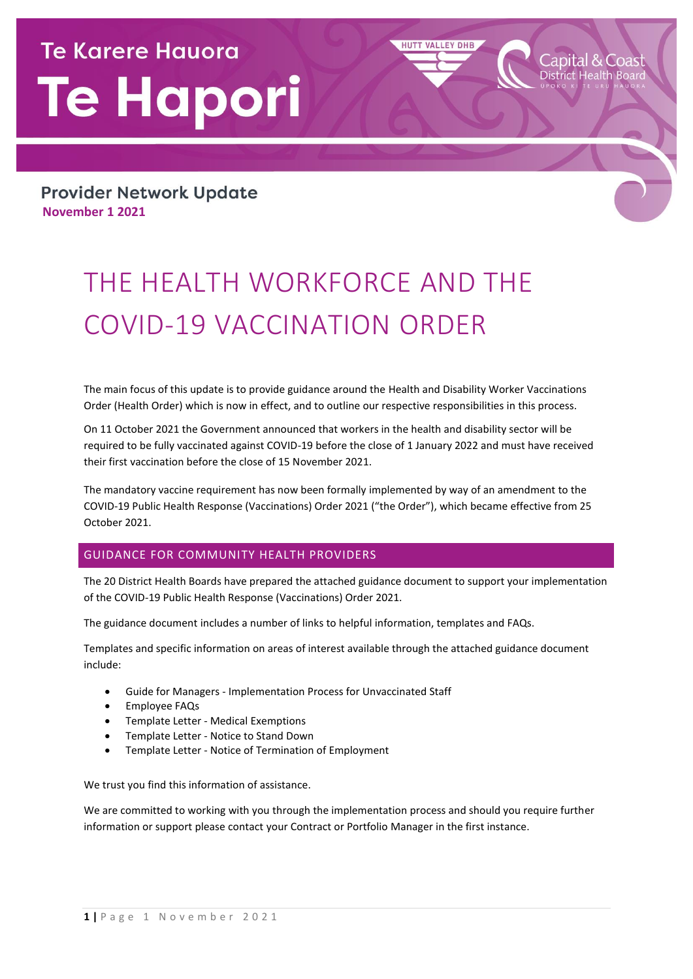# **Te Karere Hauora Te Hapori**

**Provider Network Update November 1 2021**

# THE HEALTH WORKFORCE AND THE COVID-19 VACCINATION ORDER

The main focus of this update is to provide guidance around the Health and Disability Worker Vaccinations Order (Health Order) which is now in effect, and to outline our respective responsibilities in this process.

**HUTT VALLEY DHB** 

On 11 October 2021 the Government announced that workers in the health and disability sector will be required to be fully vaccinated against COVID-19 before the close of 1 January 2022 and must have received their first vaccination before the close of 15 November 2021.

The mandatory vaccine requirement has now been formally implemented by way of an amendment to the COVID-19 Public Health Response (Vaccinations) Order 2021 ("the Order"), which became effective from 25 October 2021.

## GUIDANCE FOR COMMUNITY HEALTH PROVIDERS

The 20 District Health Boards have prepared the attached guidance document to support your implementation of the COVID-19 Public Health Response (Vaccinations) Order 2021.

The guidance document includes a number of links to helpful information, templates and FAQs.

Templates and specific information on areas of interest available through the attached guidance document include:

- Guide for Managers Implementation Process for Unvaccinated Staff
- **•** Employee FAQs
- Template Letter Medical Exemptions
- Template Letter Notice to Stand Down
- Template Letter Notice of Termination of Employment

We trust you find this information of assistance.

We are committed to working with you through the implementation process and should you require further information or support please contact your Contract or Portfolio Manager in the first instance.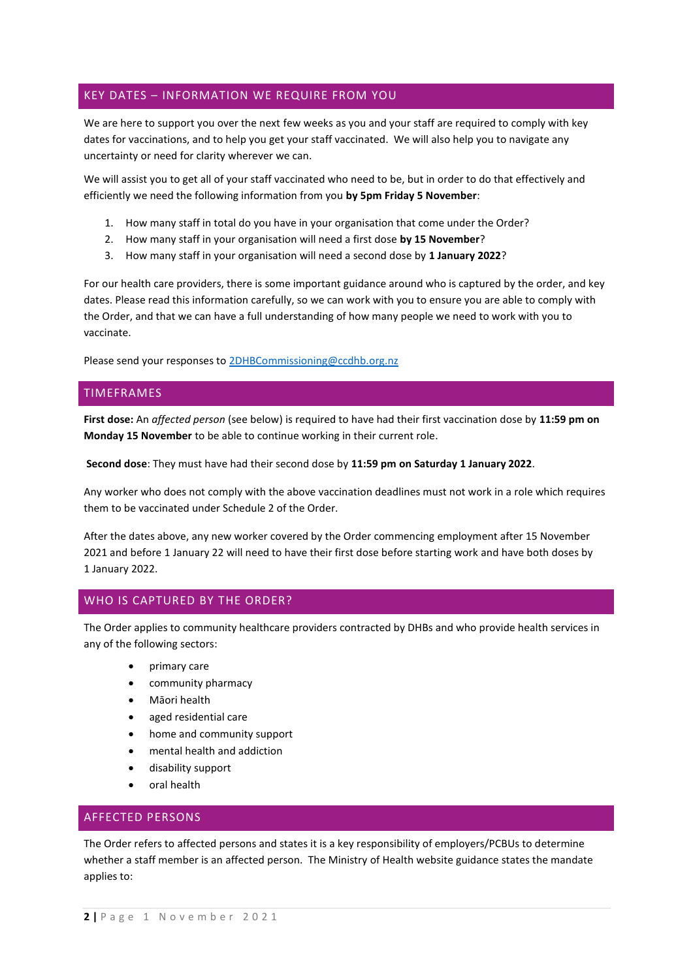# KEY DATES – INFORMATION WE REQUIRE FROM YOU

We are here to support you over the next few weeks as you and your staff are required to comply with key dates for vaccinations, and to help you get your staff vaccinated. We will also help you to navigate any uncertainty or need for clarity wherever we can.

We will assist you to get all of your staff vaccinated who need to be, but in order to do that effectively and efficiently we need the following information from you **by 5pm Friday 5 November**:

- 1. How many staff in total do you have in your organisation that come under the Order?
- 2. How many staff in your organisation will need a first dose **by 15 November**?
- 3. How many staff in your organisation will need a second dose by **1 January 2022**?

For our health care providers, there is some important guidance around who is captured by the order, and key dates. Please read this information carefully, so we can work with you to ensure you are able to comply with the Order, and that we can have a full understanding of how many people we need to work with you to vaccinate.

Please send your responses to [2DHBCommissioning@ccdhb.org.nz](mailto:2DHBCommissioning@ccdhb.org.nz)

#### TIMEFRAMES

**First dose:** An *affected person* (see below) is required to have had their first vaccination dose by **11:59 pm on Monday 15 November** to be able to continue working in their current role.

**Second dose**: They must have had their second dose by **11:59 pm on Saturday 1 January 2022**.

Any worker who does not comply with the above vaccination deadlines must not work in a role which requires them to be vaccinated under Schedule 2 of the Order.

After the dates above, any new worker covered by the Order commencing employment after 15 November 2021 and before 1 January 22 will need to have their first dose before starting work and have both doses by 1 January 2022.

## WHO IS CAPTURED BY THE ORDER?

The Order applies to community healthcare providers contracted by DHBs and who provide health services in any of the following sectors:

- primary care
- community pharmacy
- Māori health
- aged residential care
- home and community support
- mental health and addiction
- disability support
- oral health

# AFFECTED PERSONS

The Order refers to affected persons and states it is a key responsibility of employers/PCBUs to determine whether a staff member is an affected person. The Ministry of Health website guidance states the mandate applies to: